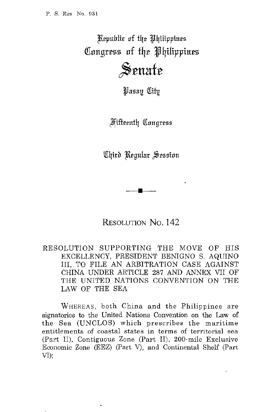Kepublic of the Philippines Congress of the Philippines **\$Srmtfr** 

*Hasau Citu* 

*Mifteenth Congress* 

Chird Regular Session

RESOLUTION No. 142

**•** 

RESOLUTION SUPPORTING THE MOVE OF HIS EXCELLENCY, PRESIDENT BENIGNO S. AQUINO III, TO FILE AN ARBITRATION CASE AGAINST CHINA UNDER ARTICLE 287 AND ANNEX VII OF THE UNITED NATIONS CONVENTION ON THE LAW OF THE SEA

WHEREAS, both China and the Philippines are signatories to the United Nations Convention on the Law of the Sea (UNCLOS) which prescribes the maritime entitlements of coastal states in terms of territorial sea (Part II), Contiguous Zone (Part II), 200-mile Exclusive Economic Zone (EEZ) (Part V), and Continental Shelf (Part VI);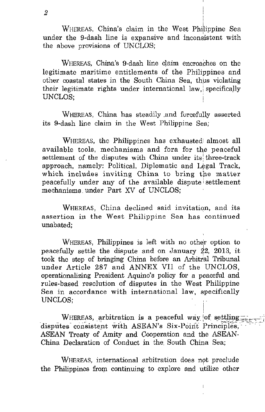WHEREAS, China's claim in the West Philippine Sea under the 9-dash line is expansive and inconsistent with the above provisions of UNCLOS;

WHEREAS, China's 9-dash line claim encroaches on the legitimate maritime entitlements of the Philippines and other coastal states in the South China Sea, thus violating their legitimate rights under international law, specifically UNCLOS;

WHEREAS, China has steadily and forcefully asserted its 9-dash line claim in the West Philippine Sea;

WHEREAS, the Philippines has exhausted almost all available tools, mechanisms and fora for the peaceful settlement of the disputes with China under its three-track approach, namely: Political, Diplomatic and Legal Track, which includes inviting China to bring the matter peacefully under any of the available dispute' settlement mechanisms under Part XV of UNCLOS;

WHEREAS, China declined said invitation, and its assertion in the West Philippine Sea has continued unabated;

WHEREAS, Philippines is left with no other option to peacefully settle the dispute and on January  $22$ , 2013, it took the step of bringing China before an Arbitral Tribunal under Article 287 and ANNEX VII of the UNCLOS, operationalizing President Aquino's policy for a peaceful and rules-based resolution of disputes in the West Philippine Sea in accordance with international law, specifically UNCLOS;

WHEREAS, arbitration is a peaceful way of settling; disputes consistent with ASEAN's Six-Point Principles, ASEAN Treaty of Amity and Cooperation and the ASEAN-China Declaration of Conduct in the South China Sea;

WHEREAS, international arbitration does not preclude the Philippines from continuing to explore and utilize other